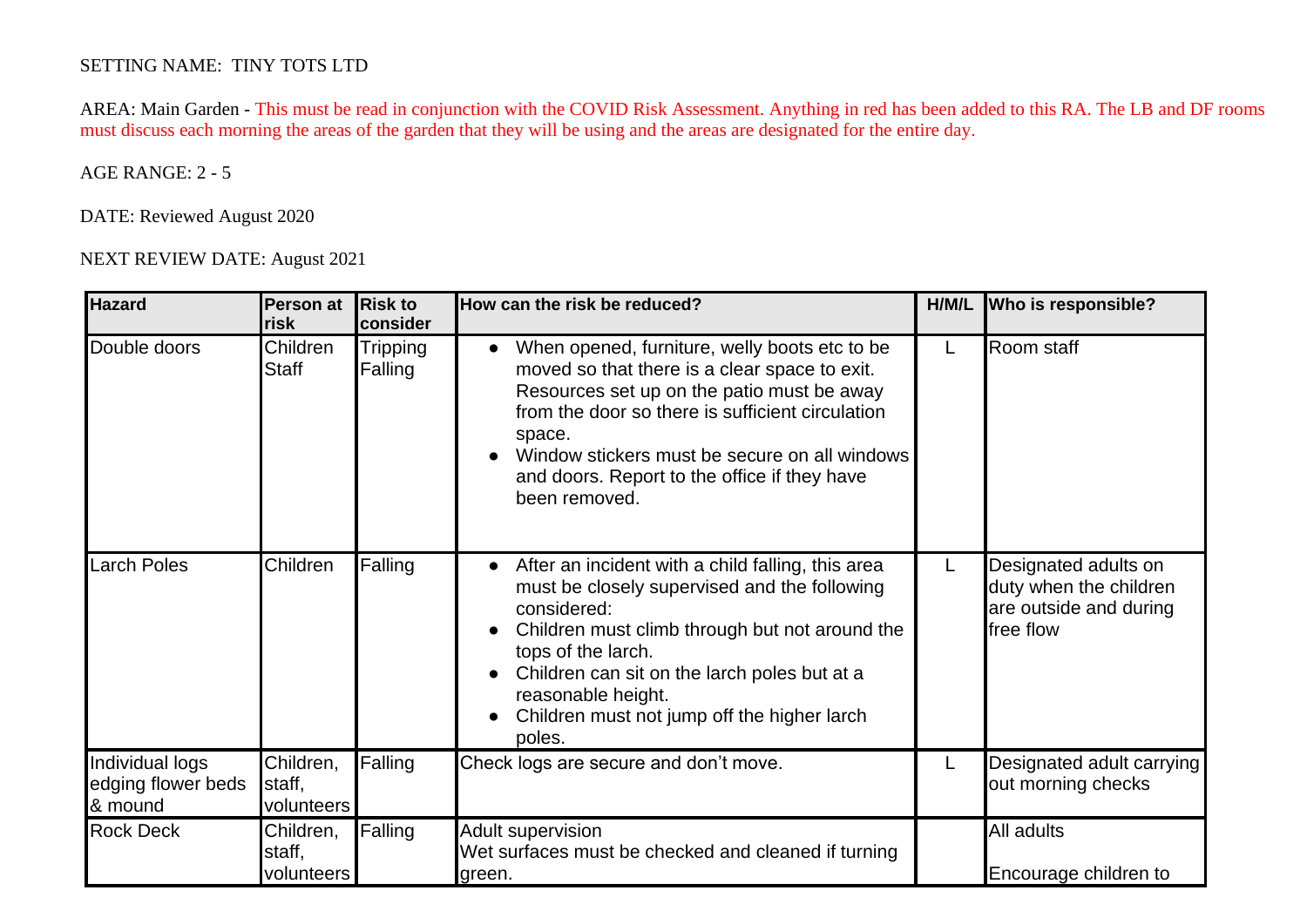## SETTING NAME: TINY TOTS LTD

 AREA: Main Garden - This must be read in conjunction with the COVID Risk Assessment. Anything in red has been added to this RA. The LB and DF rooms must discuss each morning the areas of the garden that they will be using and the areas are designated for the entire day.

## AGE RANGE: 2 - 5

DATE: Reviewed August 2020

NEXT REVIEW DATE: August 2021

| <b>Hazard</b>                                    | Person at<br>risk                 | <b>Risk to</b><br>consider | How can the risk be reduced?                                                                                                                                                                                                                                                                                                               | H/M/L | Who is responsible?                                                                   |
|--------------------------------------------------|-----------------------------------|----------------------------|--------------------------------------------------------------------------------------------------------------------------------------------------------------------------------------------------------------------------------------------------------------------------------------------------------------------------------------------|-------|---------------------------------------------------------------------------------------|
| Double doors                                     | Children<br>Staff                 | <b>Tripping</b><br>Falling | When opened, furniture, welly boots etc to be.<br>$\bullet$<br>moved so that there is a clear space to exit.<br>Resources set up on the patio must be away<br>from the door so there is sufficient circulation<br>space.<br>Window stickers must be secure on all windows<br>and doors. Report to the office if they have<br>been removed. | L     | Room staff                                                                            |
| <b>Larch Poles</b>                               | Children                          | Falling                    | After an incident with a child falling, this area<br>$\bullet$<br>must be closely supervised and the following<br>considered:<br>Children must climb through but not around the<br>tops of the larch.<br>Children can sit on the larch poles but at a<br>reasonable height.<br>Children must not jump off the higher larch<br>poles.       | L     | Designated adults on<br>duty when the children<br>are outside and during<br>free flow |
| Individual logs<br>edging flower beds<br>& mound | Children,<br>staff,<br>volunteers | Falling                    | Check logs are secure and don't move.                                                                                                                                                                                                                                                                                                      | L     | Designated adult carrying<br>out morning checks                                       |
| <b>Rock Deck</b>                                 | Children,<br>staff,<br>volunteers | Falling                    | <b>Adult supervision</b><br>Wet surfaces must be checked and cleaned if turning<br>green.                                                                                                                                                                                                                                                  |       | All adults<br>Encourage children to                                                   |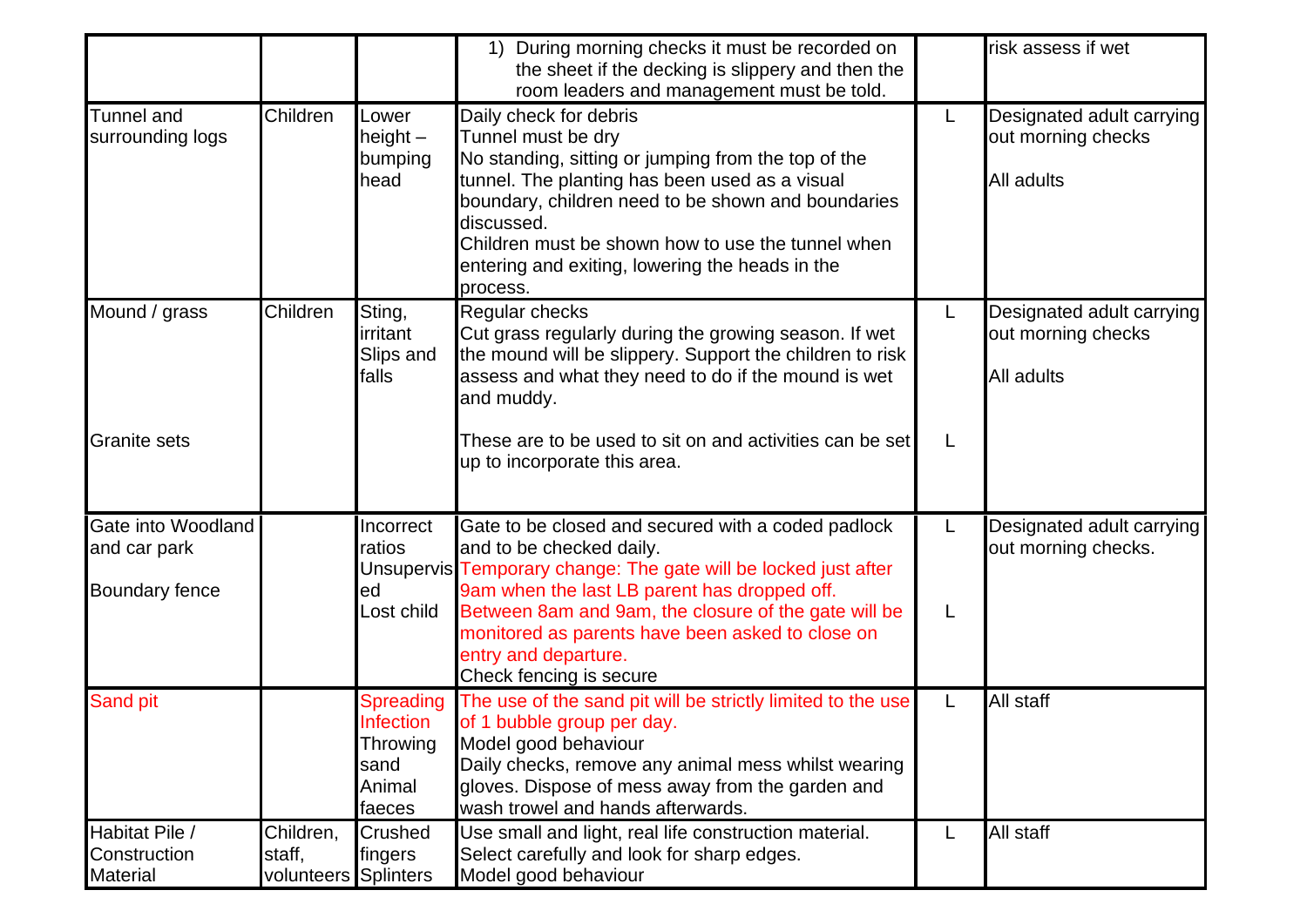|                                                             |                                   |                                                                              | 1) During morning checks it must be recorded on<br>the sheet if the decking is slippery and then the<br>room leaders and management must be told.                                                                                                                                                                                             |         | risk assess if wet                                            |
|-------------------------------------------------------------|-----------------------------------|------------------------------------------------------------------------------|-----------------------------------------------------------------------------------------------------------------------------------------------------------------------------------------------------------------------------------------------------------------------------------------------------------------------------------------------|---------|---------------------------------------------------------------|
| <b>Tunnel</b> and<br>surrounding logs                       | Children                          | Lower<br>height $-$<br>bumping<br>head                                       | Daily check for debris<br>Tunnel must be dry<br>No standing, sitting or jumping from the top of the<br>tunnel. The planting has been used as a visual<br>boundary, children need to be shown and boundaries<br>discussed.<br>Children must be shown how to use the tunnel when<br>entering and exiting, lowering the heads in the<br>process. | L.      | Designated adult carrying<br>out morning checks<br>All adults |
| Mound / grass                                               | Children                          | Sting,<br>irritant<br>Slips and<br>falls                                     | <b>Regular checks</b><br>Cut grass regularly during the growing season. If wet<br>the mound will be slippery. Support the children to risk<br>assess and what they need to do if the mound is wet<br>and muddy.                                                                                                                               | L.      | Designated adult carrying<br>out morning checks<br>All adults |
| <b>Granite sets</b>                                         |                                   |                                                                              | These are to be used to sit on and activities can be set<br>up to incorporate this area.                                                                                                                                                                                                                                                      | L       |                                                               |
| Gate into Woodland<br>and car park<br><b>Boundary fence</b> |                                   | Incorrect<br>ratios<br>ed<br>Lost child                                      | Gate to be closed and secured with a coded padlock<br>and to be checked daily.<br>Unsupervis Temporary change: The gate will be locked just after<br>9am when the last LB parent has dropped off.<br>Between 8am and 9am, the closure of the gate will be<br>monitored as parents have been asked to close on                                 | L.<br>L | Designated adult carrying<br>out morning checks.              |
|                                                             |                                   |                                                                              | entry and departure.<br>Check fencing is secure                                                                                                                                                                                                                                                                                               |         |                                                               |
| <b>Sand pit</b>                                             |                                   | <b>Spreading</b><br><b>Infection</b><br>Throwing<br>sand<br>Animal<br>faeces | The use of the sand pit will be strictly limited to the use<br>of 1 bubble group per day.<br>Model good behaviour<br>Daily checks, remove any animal mess whilst wearing<br>gloves. Dispose of mess away from the garden and<br>wash trowel and hands afterwards.                                                                             | L       | All staff                                                     |
| Habitat Pile /<br>Construction<br><b>Material</b>           | Children,<br>staff,<br>volunteers | Crushed<br>fingers<br><b>Splinters</b>                                       | Use small and light, real life construction material.<br>Select carefully and look for sharp edges.<br>Model good behaviour                                                                                                                                                                                                                   | L       | All staff                                                     |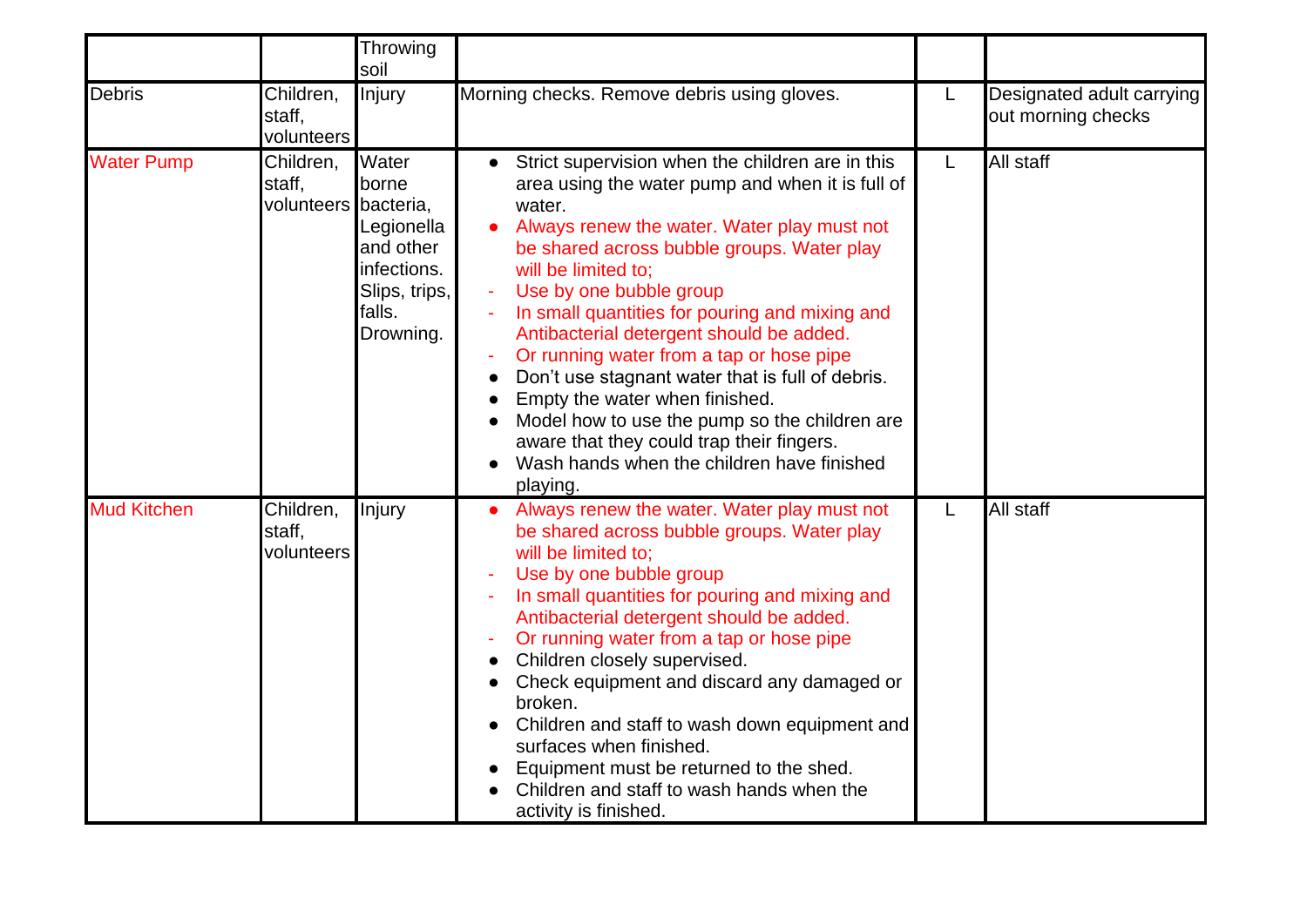|                    |                                             | Throwing<br>soil                                                                                 |                                                                                                                                                                                                                                                                                                                                                                                                                                                                                                                                                                                                                                                                    |   |                                                 |
|--------------------|---------------------------------------------|--------------------------------------------------------------------------------------------------|--------------------------------------------------------------------------------------------------------------------------------------------------------------------------------------------------------------------------------------------------------------------------------------------------------------------------------------------------------------------------------------------------------------------------------------------------------------------------------------------------------------------------------------------------------------------------------------------------------------------------------------------------------------------|---|-------------------------------------------------|
| <b>Debris</b>      | Children,<br>staff,<br>volunteers           | Injury                                                                                           | Morning checks. Remove debris using gloves.                                                                                                                                                                                                                                                                                                                                                                                                                                                                                                                                                                                                                        | L | Designated adult carrying<br>out morning checks |
| <b>Water Pump</b>  | Children,<br>staff,<br>volunteers bacteria, | Water<br>borne<br>Legionella<br>and other<br>infections.<br>Slips, trips,<br>falls.<br>Drowning. | Strict supervision when the children are in this<br>$\bullet$<br>area using the water pump and when it is full of<br>water.<br>Always renew the water. Water play must not<br>be shared across bubble groups. Water play<br>will be limited to:<br>Use by one bubble group<br>In small quantities for pouring and mixing and<br>Antibacterial detergent should be added.<br>Or running water from a tap or hose pipe<br>Don't use stagnant water that is full of debris.<br>Empty the water when finished.<br>Model how to use the pump so the children are<br>aware that they could trap their fingers.<br>Wash hands when the children have finished<br>playing. | L | All staff                                       |
| <b>Mud Kitchen</b> | Children,<br>staff.<br>volunteers           | Injury                                                                                           | Always renew the water. Water play must not<br>be shared across bubble groups. Water play<br>will be limited to:<br>Use by one bubble group<br>In small quantities for pouring and mixing and<br>Antibacterial detergent should be added.<br>Or running water from a tap or hose pipe<br>$\blacksquare$<br>Children closely supervised.<br>Check equipment and discard any damaged or<br>broken.<br>Children and staff to wash down equipment and<br>surfaces when finished.<br>Equipment must be returned to the shed.<br>Children and staff to wash hands when the<br>activity is finished.                                                                      | L | All staff                                       |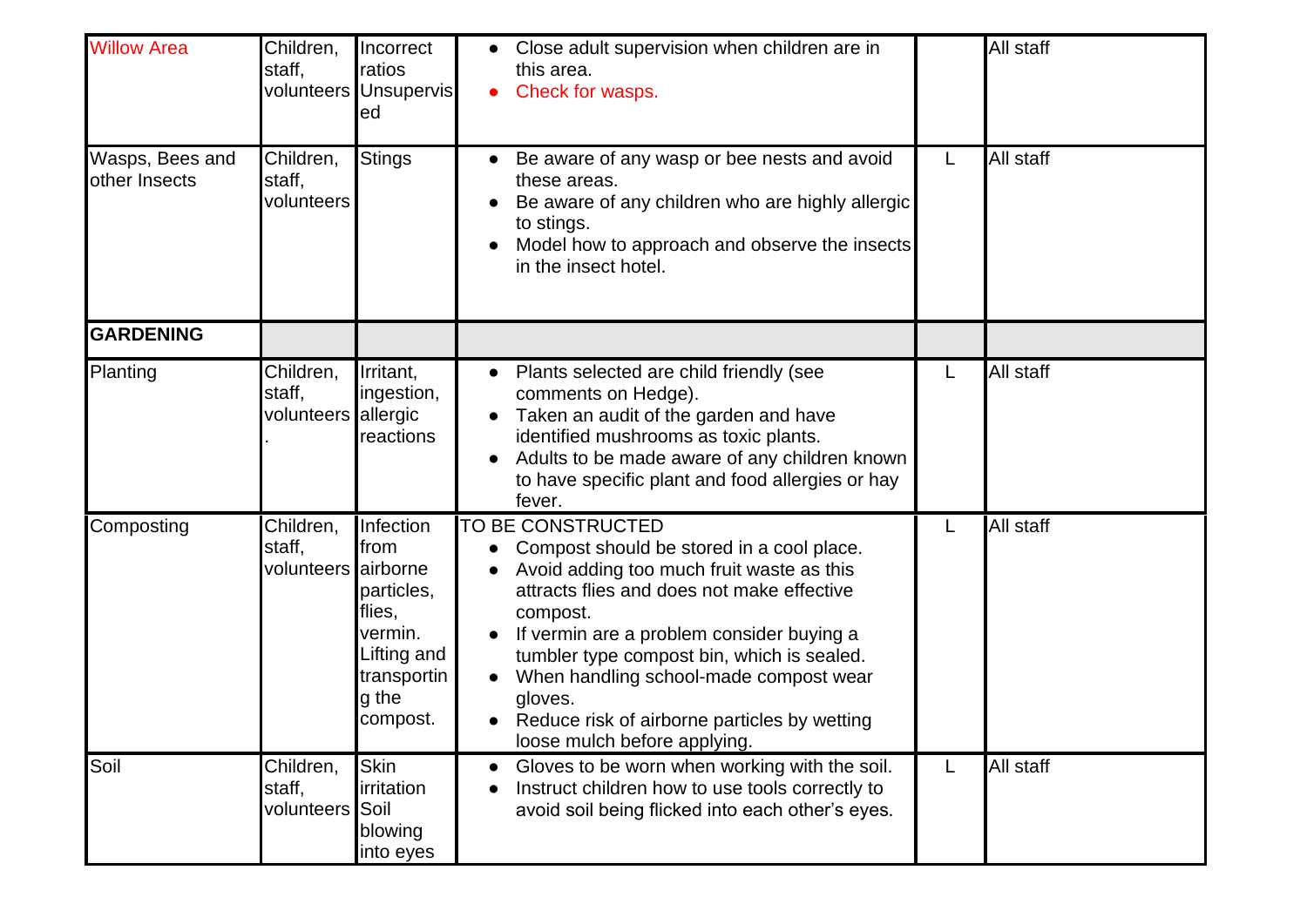| <b>Willow Area</b>               | Children,<br>staff,                        | Incorrect<br>ratios<br>volunteers Unsupervis<br>ed                                                      | Close adult supervision when children are in<br>this area.<br>Check for wasps.<br>$\bullet$                                                                                                                                                                                                                                                                                                           |   | All staff |
|----------------------------------|--------------------------------------------|---------------------------------------------------------------------------------------------------------|-------------------------------------------------------------------------------------------------------------------------------------------------------------------------------------------------------------------------------------------------------------------------------------------------------------------------------------------------------------------------------------------------------|---|-----------|
| Wasps, Bees and<br>other Insects | Children,<br>staff,<br>volunteers          | <b>Stings</b>                                                                                           | Be aware of any wasp or bee nests and avoid<br>these areas.<br>Be aware of any children who are highly allergic<br>to stings.<br>Model how to approach and observe the insects<br>in the insect hotel.                                                                                                                                                                                                | L | All staff |
| <b>GARDENING</b>                 |                                            |                                                                                                         |                                                                                                                                                                                                                                                                                                                                                                                                       |   |           |
| Planting                         | Children,<br>staff,<br>volunteers allergic | Irritant,<br>ingestion,<br>reactions                                                                    | Plants selected are child friendly (see<br>$\bullet$<br>comments on Hedge).<br>Taken an audit of the garden and have<br>identified mushrooms as toxic plants.<br>Adults to be made aware of any children known<br>to have specific plant and food allergies or hay<br>fever.                                                                                                                          | L | All staff |
| Composting                       | Children,<br>staff,<br>volunteers airborne | Infection<br>from<br>particles,<br>flies,<br>vermin.<br>Lifting and<br>transportin<br>g the<br>compost. | TO BE CONSTRUCTED<br>Compost should be stored in a cool place.<br>Avoid adding too much fruit waste as this<br>attracts flies and does not make effective<br>compost.<br>If vermin are a problem consider buying a<br>tumbler type compost bin, which is sealed.<br>When handling school-made compost wear<br>gloves.<br>Reduce risk of airborne particles by wetting<br>loose mulch before applying. |   | All staff |
| Soil                             | Children,<br>staff,<br>volunteers          | <b>Skin</b><br>irritation<br>Soil<br>blowing<br>into eyes                                               | Gloves to be worn when working with the soil.<br>Instruct children how to use tools correctly to<br>avoid soil being flicked into each other's eyes.                                                                                                                                                                                                                                                  | L | All staff |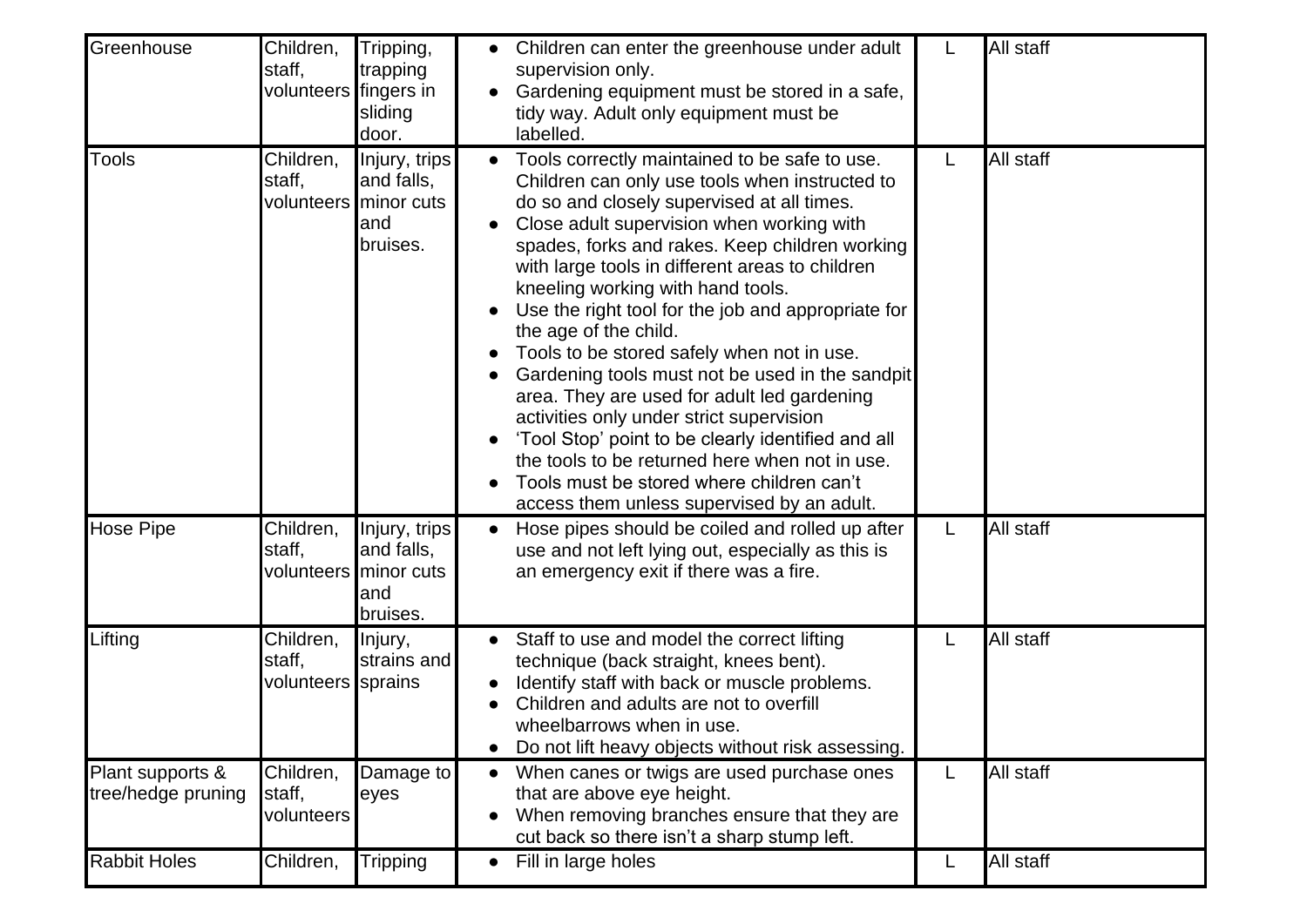| Greenhouse                             | Children,<br>staff,<br>volunteers fingers in | Tripping,<br>trapping<br>sliding<br>door.                                | Children can enter the greenhouse under adult<br>supervision only.<br>Gardening equipment must be stored in a safe,<br>tidy way. Adult only equipment must be<br>labelled.                                                                                                                                                                                                                                                                                                                                                                                                                                                                                                                                                                                                                                         |   | All staff |
|----------------------------------------|----------------------------------------------|--------------------------------------------------------------------------|--------------------------------------------------------------------------------------------------------------------------------------------------------------------------------------------------------------------------------------------------------------------------------------------------------------------------------------------------------------------------------------------------------------------------------------------------------------------------------------------------------------------------------------------------------------------------------------------------------------------------------------------------------------------------------------------------------------------------------------------------------------------------------------------------------------------|---|-----------|
| Tools                                  | Children,<br>staff,                          | Injury, trips<br>and falls,<br>volunteers minor cuts<br>land<br>bruises. | Tools correctly maintained to be safe to use.<br>Children can only use tools when instructed to<br>do so and closely supervised at all times.<br>Close adult supervision when working with<br>spades, forks and rakes. Keep children working<br>with large tools in different areas to children<br>kneeling working with hand tools.<br>Use the right tool for the job and appropriate for<br>the age of the child.<br>Tools to be stored safely when not in use.<br>Gardening tools must not be used in the sandpit<br>area. They are used for adult led gardening<br>activities only under strict supervision<br>'Tool Stop' point to be clearly identified and all<br>the tools to be returned here when not in use.<br>Tools must be stored where children can't<br>access them unless supervised by an adult. | L | All staff |
| <b>Hose Pipe</b>                       | Children,<br>staff,                          | Injury, trips<br>and falls,<br>volunteers minor cuts<br>and<br>bruises.  | Hose pipes should be coiled and rolled up after<br>use and not left lying out, especially as this is<br>an emergency exit if there was a fire.                                                                                                                                                                                                                                                                                                                                                                                                                                                                                                                                                                                                                                                                     | L | All staff |
| Lifting                                | Children,<br>staff.<br>volunteers sprains    | Injury,<br>strains and                                                   | Staff to use and model the correct lifting<br>technique (back straight, knees bent).<br>Identify staff with back or muscle problems.<br>Children and adults are not to overfill<br>wheelbarrows when in use<br>Do not lift heavy objects without risk assessing.                                                                                                                                                                                                                                                                                                                                                                                                                                                                                                                                                   |   | All staff |
| Plant supports &<br>tree/hedge pruning | Children,<br>staff,<br>volunteers            | Damage to<br>eyes                                                        | When canes or twigs are used purchase ones<br>$\bullet$<br>that are above eye height.<br>When removing branches ensure that they are<br>cut back so there isn't a sharp stump left.                                                                                                                                                                                                                                                                                                                                                                                                                                                                                                                                                                                                                                | L | All staff |
| <b>Rabbit Holes</b>                    | Children,                                    | <b>Tripping</b>                                                          | Fill in large holes<br>$\bullet$                                                                                                                                                                                                                                                                                                                                                                                                                                                                                                                                                                                                                                                                                                                                                                                   | L | All staff |